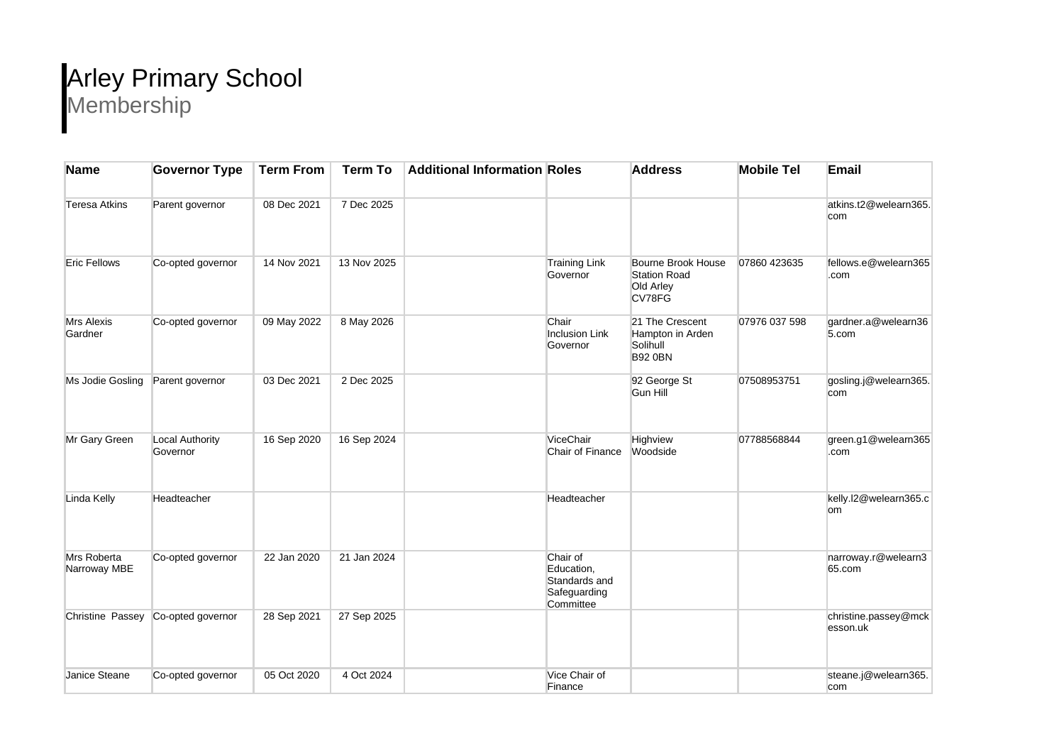## Arley Primary School Membership

| <b>Name</b>                 | <b>Governor Type</b>               | <b>Term From</b> | <b>Term To</b> | <b>Additional Information Roles</b> |                                                                      | <b>Address</b>                                                    | <b>Mobile Tel</b> | Email                            |
|-----------------------------|------------------------------------|------------------|----------------|-------------------------------------|----------------------------------------------------------------------|-------------------------------------------------------------------|-------------------|----------------------------------|
| <b>Teresa Atkins</b>        | Parent governor                    | 08 Dec 2021      | 7 Dec 2025     |                                     |                                                                      |                                                                   |                   | atkins.t2@welearn365.<br>com     |
| <b>Eric Fellows</b>         | Co-opted governor                  | 14 Nov 2021      | 13 Nov 2025    |                                     | <b>Training Link</b><br>Governor                                     | Bourne Brook House<br><b>Station Road</b><br>Old Arley<br>CV78FG  | 07860 423635      | fellows.e@welearn365<br>.com     |
| Mrs Alexis<br>Gardner       | Co-opted governor                  | 09 May 2022      | 8 May 2026     |                                     | Chair<br><b>Inclusion Link</b><br>Governor                           | 21 The Crescent<br>Hampton in Arden<br>Solihull<br><b>B92 0BN</b> | 07976 037 598     | gardner.a@welearn36<br>5.com     |
| Ms Jodie Gosling            | Parent governor                    | 03 Dec 2021      | 2 Dec 2025     |                                     |                                                                      | 92 George St<br><b>Gun Hill</b>                                   | 07508953751       | gosling.j@welearn365.<br>com     |
| Mr Gary Green               | <b>Local Authority</b><br>Governor | 16 Sep 2020      | 16 Sep 2024    |                                     | ViceChair<br>Chair of Finance                                        | Highview<br>Woodside                                              | 07788568844       | green.g1@welearn365<br>.com      |
| Linda Kelly                 | Headteacher                        |                  |                |                                     | Headteacher                                                          |                                                                   |                   | kelly.l2@welearn365.c<br>om      |
| Mrs Roberta<br>Narroway MBE | Co-opted governor                  | 22 Jan 2020      | 21 Jan 2024    |                                     | Chair of<br>Education,<br>Standards and<br>Safeguarding<br>Committee |                                                                   |                   | narroway.r@welearn3<br>65.com    |
|                             | Christine Passey Co-opted governor | 28 Sep 2021      | 27 Sep 2025    |                                     |                                                                      |                                                                   |                   | christine.passey@mck<br>esson.uk |
| Janice Steane               | Co-opted governor                  | 05 Oct 2020      | 4 Oct 2024     |                                     | Vice Chair of<br>Finance                                             |                                                                   |                   | steane.j@welearn365.<br>com      |